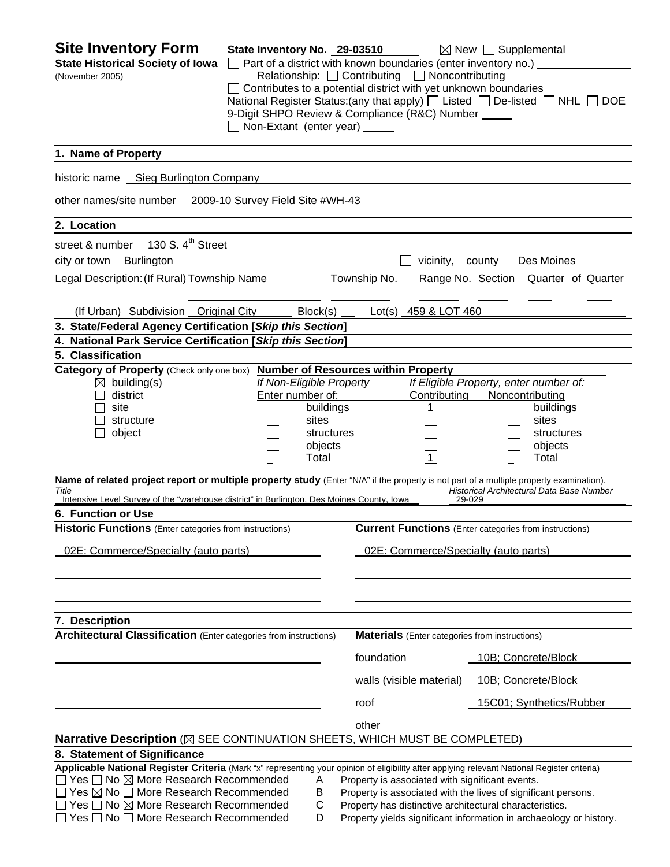| <b>Site Inventory Form</b><br><b>State Historical Society of Iowa</b><br>(November 2005)                                                                                                                                                      | State Inventory No. 29-03510                                                                                                                                                                                                                                                                                               |                          |                                      | $\Box$ Part of a district with known boundaries (enter inventory no.) $\Box$ | $\boxtimes$ New $\Box$ Supplemental                           |  |
|-----------------------------------------------------------------------------------------------------------------------------------------------------------------------------------------------------------------------------------------------|----------------------------------------------------------------------------------------------------------------------------------------------------------------------------------------------------------------------------------------------------------------------------------------------------------------------------|--------------------------|--------------------------------------|------------------------------------------------------------------------------|---------------------------------------------------------------|--|
|                                                                                                                                                                                                                                               | Relationship: <u>□</u> Contributing □ Noncontributing<br>$\Box$ Contributes to a potential district with yet unknown boundaries<br>National Register Status: (any that apply) $\Box$ Listed $\Box$ De-listed $\Box$ NHL $\Box$ DOE<br>9-Digit SHPO Review & Compliance (R&C) Number _____<br>Non-Extant (enter year) _____ |                          |                                      |                                                                              |                                                               |  |
| 1. Name of Property                                                                                                                                                                                                                           |                                                                                                                                                                                                                                                                                                                            |                          |                                      |                                                                              |                                                               |  |
| historic name Sieg Burlington Company                                                                                                                                                                                                         |                                                                                                                                                                                                                                                                                                                            |                          |                                      |                                                                              |                                                               |  |
| other names/site number 2009-10 Survey Field Site #WH-43                                                                                                                                                                                      |                                                                                                                                                                                                                                                                                                                            |                          |                                      |                                                                              |                                                               |  |
| 2. Location                                                                                                                                                                                                                                   |                                                                                                                                                                                                                                                                                                                            |                          |                                      |                                                                              |                                                               |  |
| street & number 130 S. 4 <sup>th</sup> Street                                                                                                                                                                                                 |                                                                                                                                                                                                                                                                                                                            |                          |                                      |                                                                              |                                                               |  |
| city or town Burlington                                                                                                                                                                                                                       |                                                                                                                                                                                                                                                                                                                            |                          |                                      | vicinity, county                                                             | Des Moines                                                    |  |
| Legal Description: (If Rural) Township Name<br>Township No.<br>Range No. Section Quarter of Quarter                                                                                                                                           |                                                                                                                                                                                                                                                                                                                            |                          |                                      |                                                                              |                                                               |  |
| (If Urban) Subdivision Original City                                                                                                                                                                                                          |                                                                                                                                                                                                                                                                                                                            | Block(s)                 |                                      | Lot(s) 459 & LOT 460                                                         |                                                               |  |
| 3. State/Federal Agency Certification [Skip this Section]                                                                                                                                                                                     |                                                                                                                                                                                                                                                                                                                            |                          |                                      |                                                                              |                                                               |  |
| 4. National Park Service Certification [Skip this Section]                                                                                                                                                                                    |                                                                                                                                                                                                                                                                                                                            |                          |                                      |                                                                              |                                                               |  |
| 5. Classification                                                                                                                                                                                                                             |                                                                                                                                                                                                                                                                                                                            |                          |                                      |                                                                              |                                                               |  |
| Category of Property (Check only one box) Number of Resources within Property<br>$\boxtimes$ building(s)                                                                                                                                      |                                                                                                                                                                                                                                                                                                                            | If Non-Eligible Property |                                      |                                                                              | If Eligible Property, enter number of:                        |  |
| district                                                                                                                                                                                                                                      |                                                                                                                                                                                                                                                                                                                            | Enter number of:         |                                      | Contributing                                                                 | Noncontributing                                               |  |
| site                                                                                                                                                                                                                                          |                                                                                                                                                                                                                                                                                                                            | buildings                |                                      | <u>_1</u>                                                                    | buildings                                                     |  |
| structure                                                                                                                                                                                                                                     |                                                                                                                                                                                                                                                                                                                            | sites                    |                                      |                                                                              | sites                                                         |  |
| object                                                                                                                                                                                                                                        |                                                                                                                                                                                                                                                                                                                            | structures               |                                      |                                                                              | structures                                                    |  |
|                                                                                                                                                                                                                                               |                                                                                                                                                                                                                                                                                                                            | objects<br>Total         |                                      | $\overline{1}$                                                               | objects<br>Total                                              |  |
| Name of related project report or multiple property study (Enter "N/A" if the property is not part of a multiple property examination).<br>Title<br>Intensive Level Survey of the "warehouse district" in Burlington, Des Moines County, Iowa |                                                                                                                                                                                                                                                                                                                            |                          |                                      |                                                                              | Historical Architectural Data Base Number<br>29-029           |  |
| 6. Function or Use                                                                                                                                                                                                                            |                                                                                                                                                                                                                                                                                                                            |                          |                                      |                                                                              |                                                               |  |
| <b>Historic Functions</b> (Enter categories from instructions)                                                                                                                                                                                |                                                                                                                                                                                                                                                                                                                            |                          |                                      |                                                                              | <b>Current Functions</b> (Enter categories from instructions) |  |
| 02E: Commerce/Specialty (auto parts)                                                                                                                                                                                                          |                                                                                                                                                                                                                                                                                                                            |                          | 02E: Commerce/Specialty (auto parts) |                                                                              |                                                               |  |
|                                                                                                                                                                                                                                               |                                                                                                                                                                                                                                                                                                                            |                          |                                      |                                                                              |                                                               |  |
|                                                                                                                                                                                                                                               |                                                                                                                                                                                                                                                                                                                            |                          |                                      |                                                                              |                                                               |  |
| 7. Description                                                                                                                                                                                                                                |                                                                                                                                                                                                                                                                                                                            |                          |                                      |                                                                              |                                                               |  |
| <b>Architectural Classification</b> (Enter categories from instructions)                                                                                                                                                                      |                                                                                                                                                                                                                                                                                                                            |                          |                                      | <b>Materials</b> (Enter categories from instructions)                        |                                                               |  |
|                                                                                                                                                                                                                                               |                                                                                                                                                                                                                                                                                                                            |                          |                                      | foundation                                                                   | 10B; Concrete/Block                                           |  |
|                                                                                                                                                                                                                                               |                                                                                                                                                                                                                                                                                                                            |                          |                                      | walls (visible material)                                                     | 10B; Concrete/Block                                           |  |
|                                                                                                                                                                                                                                               |                                                                                                                                                                                                                                                                                                                            |                          | roof                                 |                                                                              | 15C01; Synthetics/Rubber                                      |  |
|                                                                                                                                                                                                                                               |                                                                                                                                                                                                                                                                                                                            |                          | other                                |                                                                              |                                                               |  |
| Narrative Description (X SEE CONTINUATION SHEETS, WHICH MUST BE COMPLETED)                                                                                                                                                                    |                                                                                                                                                                                                                                                                                                                            |                          |                                      |                                                                              |                                                               |  |
| 8. Statement of Significance                                                                                                                                                                                                                  |                                                                                                                                                                                                                                                                                                                            |                          |                                      |                                                                              |                                                               |  |
| Applicable National Register Criteria (Mark "x" representing your opinion of eligibility after applying relevant National Register criteria)                                                                                                  |                                                                                                                                                                                                                                                                                                                            |                          |                                      |                                                                              |                                                               |  |
| $\Box$ Yes $\Box$ No $\boxtimes$ More Research Recommended<br>Α<br>Property is associated with significant events.                                                                                                                            |                                                                                                                                                                                                                                                                                                                            |                          |                                      |                                                                              |                                                               |  |
| $\Box$ Yes $\boxtimes$ No $\Box$ More Research Recommended<br>В<br>Property is associated with the lives of significant persons.<br>□ Yes □ No ⊠ More Research Recommended<br>C<br>Property has distinctive architectural characteristics.    |                                                                                                                                                                                                                                                                                                                            |                          |                                      |                                                                              |                                                               |  |
| $\Box$ Yes $\Box$ No $\Box$ More Research Recommended<br>D<br>Property yields significant information in archaeology or history.                                                                                                              |                                                                                                                                                                                                                                                                                                                            |                          |                                      |                                                                              |                                                               |  |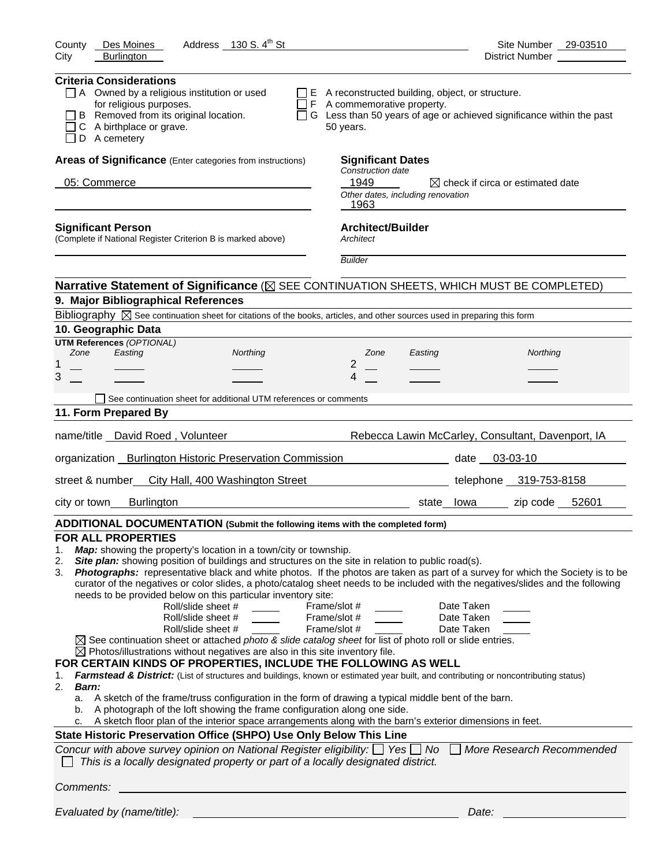| Address 130 S. 4 <sup>th</sup> St<br>County<br>Des Moines                                                                                                                                                                                                                                                                                                                                                                                                                                                                                                                                                                                                                                                                                                                                                                                                                                                                                                                                                                                                                                                                                                                                                                                                                                                                                                                                                                                                                                                                                                                                                                                                                                       | Site Number 29-03510                                                |
|-------------------------------------------------------------------------------------------------------------------------------------------------------------------------------------------------------------------------------------------------------------------------------------------------------------------------------------------------------------------------------------------------------------------------------------------------------------------------------------------------------------------------------------------------------------------------------------------------------------------------------------------------------------------------------------------------------------------------------------------------------------------------------------------------------------------------------------------------------------------------------------------------------------------------------------------------------------------------------------------------------------------------------------------------------------------------------------------------------------------------------------------------------------------------------------------------------------------------------------------------------------------------------------------------------------------------------------------------------------------------------------------------------------------------------------------------------------------------------------------------------------------------------------------------------------------------------------------------------------------------------------------------------------------------------------------------|---------------------------------------------------------------------|
| <b>Burlington</b><br>City                                                                                                                                                                                                                                                                                                                                                                                                                                                                                                                                                                                                                                                                                                                                                                                                                                                                                                                                                                                                                                                                                                                                                                                                                                                                                                                                                                                                                                                                                                                                                                                                                                                                       | District Number                                                     |
| <b>Criteria Considerations</b><br>$\Box$ A Owned by a religious institution or used<br>$\Box$ E A reconstructed building, object, or structure.<br>for religious purposes.<br>$\Box$ F A commemorative property.<br>B Removed from its original location.<br>$\Box$ G Less than 50 years of age or achieved significance within the past<br>C A birthplace or grave.<br>50 years.<br>D A cemetery                                                                                                                                                                                                                                                                                                                                                                                                                                                                                                                                                                                                                                                                                                                                                                                                                                                                                                                                                                                                                                                                                                                                                                                                                                                                                               |                                                                     |
| Areas of Significance (Enter categories from instructions)<br><b>Significant Dates</b><br>Construction date<br>05: Commerce<br>1949<br>Other dates, including renovation<br>1963                                                                                                                                                                                                                                                                                                                                                                                                                                                                                                                                                                                                                                                                                                                                                                                                                                                                                                                                                                                                                                                                                                                                                                                                                                                                                                                                                                                                                                                                                                                | $\boxtimes$ check if circa or estimated date                        |
| <b>Architect/Builder</b><br><b>Significant Person</b><br>(Complete if National Register Criterion B is marked above)<br>Architect<br><b>Builder</b>                                                                                                                                                                                                                                                                                                                                                                                                                                                                                                                                                                                                                                                                                                                                                                                                                                                                                                                                                                                                                                                                                                                                                                                                                                                                                                                                                                                                                                                                                                                                             |                                                                     |
|                                                                                                                                                                                                                                                                                                                                                                                                                                                                                                                                                                                                                                                                                                                                                                                                                                                                                                                                                                                                                                                                                                                                                                                                                                                                                                                                                                                                                                                                                                                                                                                                                                                                                                 |                                                                     |
| Narrative Statement of Significance ( $\boxtimes$ SEE CONTINUATION SHEETS, WHICH MUST BE COMPLETED)                                                                                                                                                                                                                                                                                                                                                                                                                                                                                                                                                                                                                                                                                                                                                                                                                                                                                                                                                                                                                                                                                                                                                                                                                                                                                                                                                                                                                                                                                                                                                                                             |                                                                     |
| 9. Major Bibliographical References                                                                                                                                                                                                                                                                                                                                                                                                                                                                                                                                                                                                                                                                                                                                                                                                                                                                                                                                                                                                                                                                                                                                                                                                                                                                                                                                                                                                                                                                                                                                                                                                                                                             |                                                                     |
| Bibliography $\boxtimes$ See continuation sheet for citations of the books, articles, and other sources used in preparing this form<br>10. Geographic Data                                                                                                                                                                                                                                                                                                                                                                                                                                                                                                                                                                                                                                                                                                                                                                                                                                                                                                                                                                                                                                                                                                                                                                                                                                                                                                                                                                                                                                                                                                                                      |                                                                     |
| <b>UTM References (OPTIONAL)</b>                                                                                                                                                                                                                                                                                                                                                                                                                                                                                                                                                                                                                                                                                                                                                                                                                                                                                                                                                                                                                                                                                                                                                                                                                                                                                                                                                                                                                                                                                                                                                                                                                                                                |                                                                     |
| Zone<br>Easting<br>Northing<br>Zone<br>Easting                                                                                                                                                                                                                                                                                                                                                                                                                                                                                                                                                                                                                                                                                                                                                                                                                                                                                                                                                                                                                                                                                                                                                                                                                                                                                                                                                                                                                                                                                                                                                                                                                                                  | Northing                                                            |
| 2<br>1<br>3<br>4                                                                                                                                                                                                                                                                                                                                                                                                                                                                                                                                                                                                                                                                                                                                                                                                                                                                                                                                                                                                                                                                                                                                                                                                                                                                                                                                                                                                                                                                                                                                                                                                                                                                                |                                                                     |
|                                                                                                                                                                                                                                                                                                                                                                                                                                                                                                                                                                                                                                                                                                                                                                                                                                                                                                                                                                                                                                                                                                                                                                                                                                                                                                                                                                                                                                                                                                                                                                                                                                                                                                 |                                                                     |
| See continuation sheet for additional UTM references or comments                                                                                                                                                                                                                                                                                                                                                                                                                                                                                                                                                                                                                                                                                                                                                                                                                                                                                                                                                                                                                                                                                                                                                                                                                                                                                                                                                                                                                                                                                                                                                                                                                                |                                                                     |
| 11. Form Prepared By                                                                                                                                                                                                                                                                                                                                                                                                                                                                                                                                                                                                                                                                                                                                                                                                                                                                                                                                                                                                                                                                                                                                                                                                                                                                                                                                                                                                                                                                                                                                                                                                                                                                            |                                                                     |
| name/title David Roed, Volunteer                                                                                                                                                                                                                                                                                                                                                                                                                                                                                                                                                                                                                                                                                                                                                                                                                                                                                                                                                                                                                                                                                                                                                                                                                                                                                                                                                                                                                                                                                                                                                                                                                                                                | Rebecca Lawin McCarley, Consultant, Davenport, IA                   |
| organization _ Burlington Historic Preservation Commission<br>date 03-03-10                                                                                                                                                                                                                                                                                                                                                                                                                                                                                                                                                                                                                                                                                                                                                                                                                                                                                                                                                                                                                                                                                                                                                                                                                                                                                                                                                                                                                                                                                                                                                                                                                     |                                                                     |
| street & number<br>City Hall, 400 Washington Street                                                                                                                                                                                                                                                                                                                                                                                                                                                                                                                                                                                                                                                                                                                                                                                                                                                                                                                                                                                                                                                                                                                                                                                                                                                                                                                                                                                                                                                                                                                                                                                                                                             | telephone 319-753-8158                                              |
| <b>Burlington</b><br>city or town                                                                                                                                                                                                                                                                                                                                                                                                                                                                                                                                                                                                                                                                                                                                                                                                                                                                                                                                                                                                                                                                                                                                                                                                                                                                                                                                                                                                                                                                                                                                                                                                                                                               | zip code 52601<br>state_lowa                                        |
| ADDITIONAL DOCUMENTATION (Submit the following items with the completed form)                                                                                                                                                                                                                                                                                                                                                                                                                                                                                                                                                                                                                                                                                                                                                                                                                                                                                                                                                                                                                                                                                                                                                                                                                                                                                                                                                                                                                                                                                                                                                                                                                   |                                                                     |
| <b>FOR ALL PROPERTIES</b><br>Map: showing the property's location in a town/city or township.<br>1.<br>Site plan: showing position of buildings and structures on the site in relation to public road(s).<br>2.<br>Photographs: representative black and white photos. If the photos are taken as part of a survey for which the Society is to be<br>3.<br>curator of the negatives or color slides, a photo/catalog sheet needs to be included with the negatives/slides and the following<br>needs to be provided below on this particular inventory site:<br>Roll/slide sheet #<br>Frame/slot #<br>Roll/slide sheet #<br>Frame/slot #<br>Roll/slide sheet #<br>Frame/slot #<br>$\boxtimes$ See continuation sheet or attached photo & slide catalog sheet for list of photo roll or slide entries.<br>$\boxtimes$ Photos/illustrations without negatives are also in this site inventory file.<br>FOR CERTAIN KINDS OF PROPERTIES, INCLUDE THE FOLLOWING AS WELL<br>Farmstead & District: (List of structures and buildings, known or estimated year built, and contributing or noncontributing status)<br>1.<br>2.<br>Barn:<br>A sketch of the frame/truss configuration in the form of drawing a typical middle bent of the barn.<br>а.<br>A photograph of the loft showing the frame configuration along one side.<br>b.<br>A sketch floor plan of the interior space arrangements along with the barn's exterior dimensions in feet.<br>State Historic Preservation Office (SHPO) Use Only Below This Line<br>Concur with above survey opinion on National Register eligibility: $\Box$ Yes $\Box$ No<br>This is a locally designated property or part of a locally designated district. | Date Taken<br>Date Taken<br>Date Taken<br>More Research Recommended |
| Comments:                                                                                                                                                                                                                                                                                                                                                                                                                                                                                                                                                                                                                                                                                                                                                                                                                                                                                                                                                                                                                                                                                                                                                                                                                                                                                                                                                                                                                                                                                                                                                                                                                                                                                       |                                                                     |
| Evaluated by (name/title):                                                                                                                                                                                                                                                                                                                                                                                                                                                                                                                                                                                                                                                                                                                                                                                                                                                                                                                                                                                                                                                                                                                                                                                                                                                                                                                                                                                                                                                                                                                                                                                                                                                                      | Date:                                                               |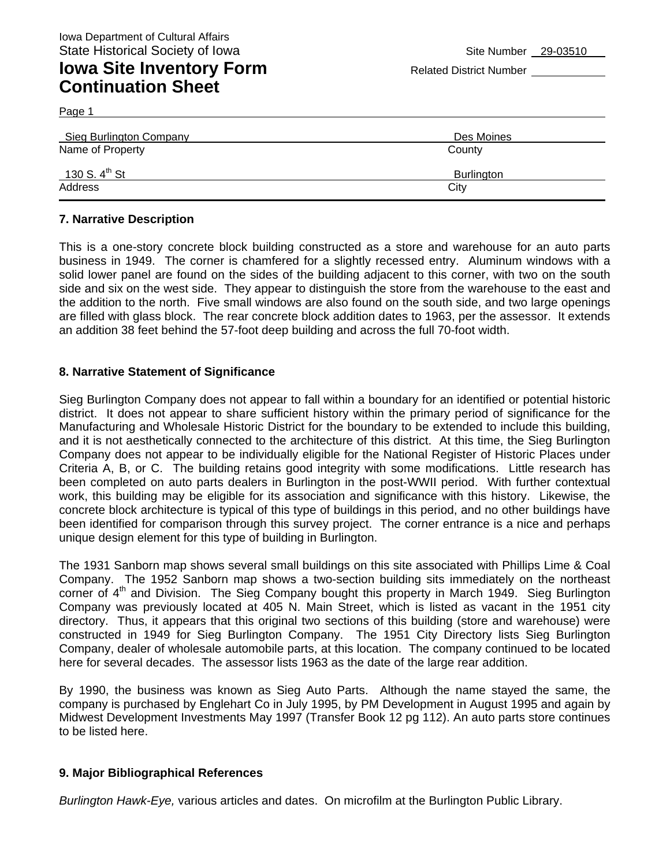### **Iowa Site Inventory Form** Related District Number **Related District Number Continuation Sheet**

Page 1

| <b>Sieg Burlington Company</b> | Des Moines |
|--------------------------------|------------|
| Name of Property               | County     |
| 130 S. 4 <sup>th</sup> St      | Burlington |
| Address                        | City       |

#### **7. Narrative Description**

This is a one-story concrete block building constructed as a store and warehouse for an auto parts business in 1949. The corner is chamfered for a slightly recessed entry. Aluminum windows with a solid lower panel are found on the sides of the building adjacent to this corner, with two on the south side and six on the west side. They appear to distinguish the store from the warehouse to the east and the addition to the north. Five small windows are also found on the south side, and two large openings are filled with glass block. The rear concrete block addition dates to 1963, per the assessor. It extends an addition 38 feet behind the 57-foot deep building and across the full 70-foot width.

#### **8. Narrative Statement of Significance**

Sieg Burlington Company does not appear to fall within a boundary for an identified or potential historic district. It does not appear to share sufficient history within the primary period of significance for the Manufacturing and Wholesale Historic District for the boundary to be extended to include this building, and it is not aesthetically connected to the architecture of this district. At this time, the Sieg Burlington Company does not appear to be individually eligible for the National Register of Historic Places under Criteria A, B, or C. The building retains good integrity with some modifications. Little research has been completed on auto parts dealers in Burlington in the post-WWII period. With further contextual work, this building may be eligible for its association and significance with this history. Likewise, the concrete block architecture is typical of this type of buildings in this period, and no other buildings have been identified for comparison through this survey project. The corner entrance is a nice and perhaps unique design element for this type of building in Burlington.

The 1931 Sanborn map shows several small buildings on this site associated with Phillips Lime & Coal Company. The 1952 Sanborn map shows a two-section building sits immediately on the northeast corner of  $4<sup>th</sup>$  and Division. The Sieg Company bought this property in March 1949. Sieg Burlington Company was previously located at 405 N. Main Street, which is listed as vacant in the 1951 city directory. Thus, it appears that this original two sections of this building (store and warehouse) were constructed in 1949 for Sieg Burlington Company. The 1951 City Directory lists Sieg Burlington Company, dealer of wholesale automobile parts, at this location. The company continued to be located here for several decades. The assessor lists 1963 as the date of the large rear addition.

By 1990, the business was known as Sieg Auto Parts. Although the name stayed the same, the company is purchased by Englehart Co in July 1995, by PM Development in August 1995 and again by Midwest Development Investments May 1997 (Transfer Book 12 pg 112). An auto parts store continues to be listed here.

#### **9. Major Bibliographical References**

*Burlington Hawk-Eye,* various articles and dates. On microfilm at the Burlington Public Library.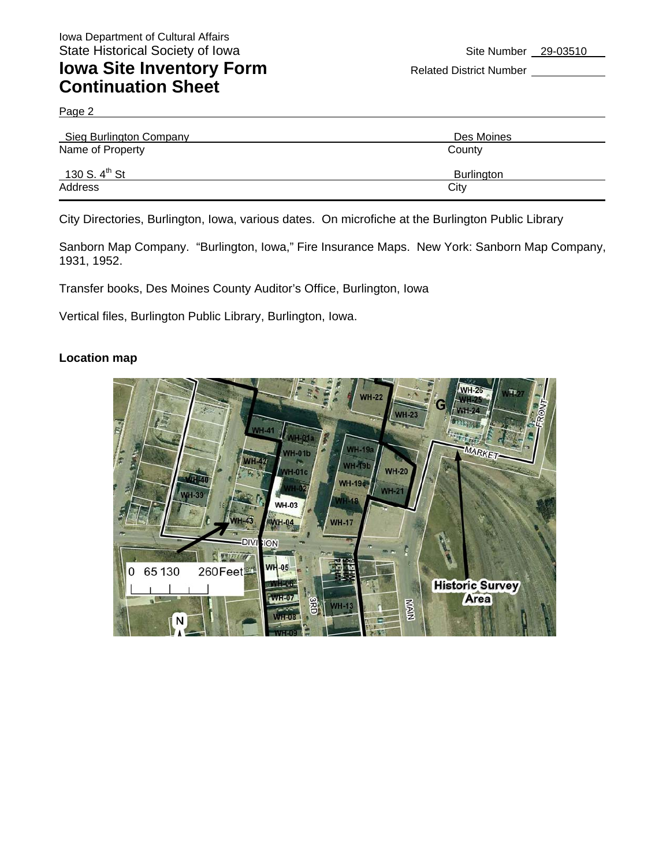### **Iowa Site Inventory Form** Related District Number **Continuation Sheet**

Page 2

| Sieg Burlington Company   | Des Moines        |
|---------------------------|-------------------|
| Name of Property          | County            |
| 130 S. $4^{\text{th}}$ St | <b>Burlington</b> |
| Address                   | City              |

City Directories, Burlington, Iowa, various dates. On microfiche at the Burlington Public Library

Sanborn Map Company. "Burlington, Iowa," Fire Insurance Maps. New York: Sanborn Map Company, 1931, 1952.

Transfer books, Des Moines County Auditor's Office, Burlington, Iowa

Vertical files, Burlington Public Library, Burlington, Iowa.

#### **Location map**

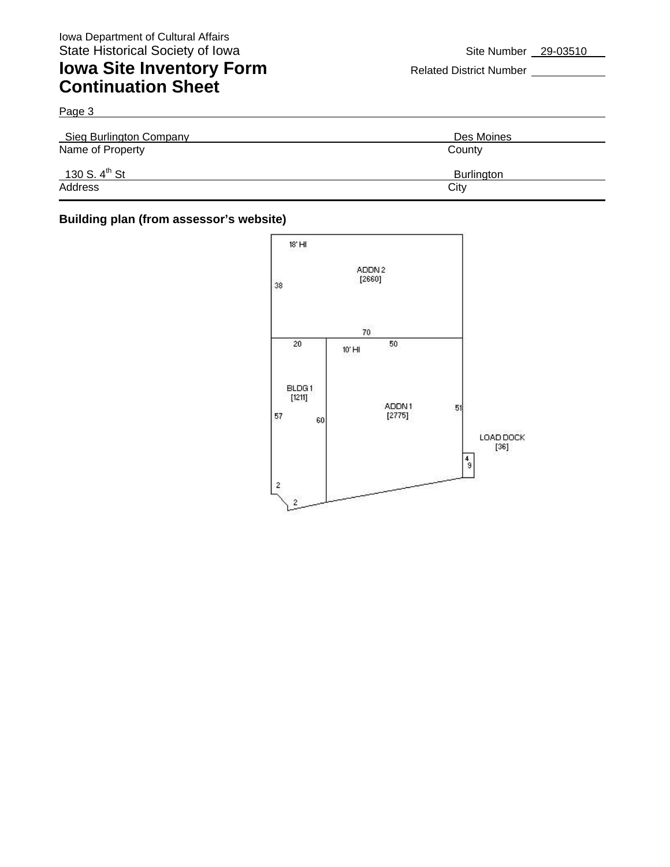## **Iowa Site Inventory Form** Related District Number **Continuation Sheet**

Page 3 Sieg Burlington Company **Desimal Company** Des Moines Name of Property County 130 S. 4<sup>th</sup> St Burlington Address City **City Address** 

### **Building plan (from assessor's website)**

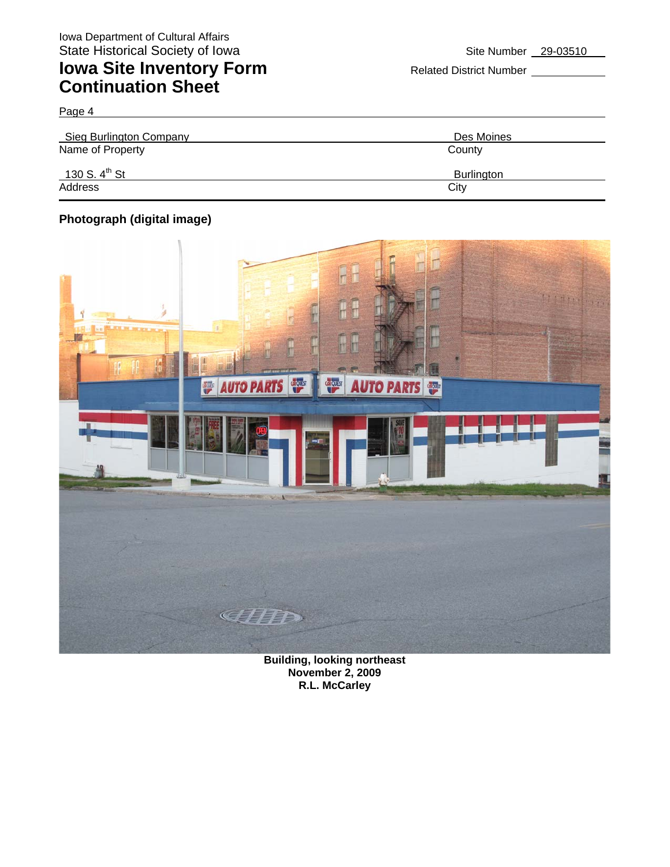# **Iowa Site Inventory Form** Related District Number **Continuation Sheet**

Page 4

| Sieg Burlington Company   | Des Moines        |
|---------------------------|-------------------|
| Name of Property          | County            |
| 130 S. $4^{\text{th}}$ St | <b>Burlington</b> |
| Address                   | City              |

### **Photograph (digital image)**



**Building, looking northeast November 2, 2009 R.L. McCarley**